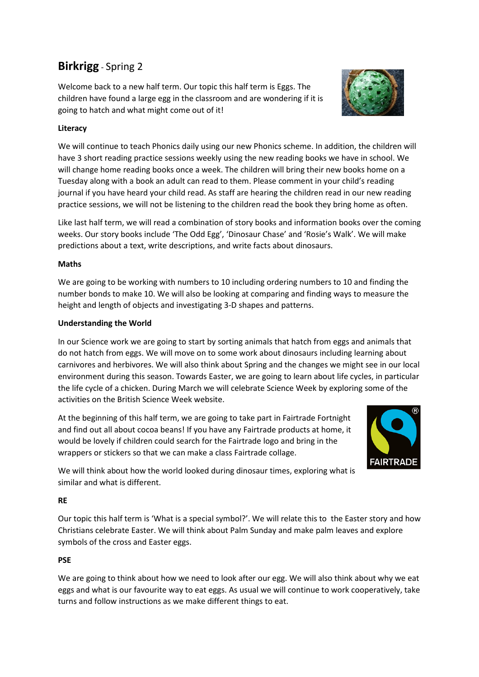# **Birkrigg** - Spring 2

Welcome back to a new half term. Our topic this half term is Eggs. The children have found a large egg in the classroom and are wondering if it is going to hatch and what might come out of it!

# **Literacy**

We will continue to teach Phonics daily using our new Phonics scheme. In addition, the children will have 3 short reading practice sessions weekly using the new reading books we have in school. We will change home reading books once a week. The children will bring their new books home on a Tuesday along with a book an adult can read to them. Please comment in your child's reading journal if you have heard your child read. As staff are hearing the children read in our new reading practice sessions, we will not be listening to the children read the book they bring home as often.

Like last half term, we will read a combination of story books and information books over the coming weeks. Our story books include 'The Odd Egg', 'Dinosaur Chase' and 'Rosie's Walk'. We will make predictions about a text, write descriptions, and write facts about dinosaurs.

# **Maths**

We are going to be working with numbers to 10 including ordering numbers to 10 and finding the number bonds to make 10. We will also be looking at comparing and finding ways to measure the height and length of objects and investigating 3-D shapes and patterns.

## **Understanding the World**

In our Science work we are going to start by sorting animals that hatch from eggs and animals that do not hatch from eggs. We will move on to some work about dinosaurs including learning about carnivores and herbivores. We will also think about Spring and the changes we might see in our local environment during this season. Towards Easter, we are going to learn about life cycles, in particular the life cycle of a chicken. During March we will celebrate Science Week by exploring some of the activities on the British Science Week website.

At the beginning of this half term, we are going to take part in Fairtrade Fortnight and find out all about cocoa beans! If you have any Fairtrade products at home, it would be lovely if children could search for the Fairtrade logo and bring in the wrappers or stickers so that we can make a class Fairtrade collage.



We will think about how the world looked during dinosaur times, exploring what is similar and what is different.

# **RE**

Our topic this half term is 'What is a special symbol?'. We will relate this to the Easter story and how Christians celebrate Easter. We will think about Palm Sunday and make palm leaves and explore symbols of the cross and Easter eggs.

#### **PSE**

We are going to think about how we need to look after our egg. We will also think about why we eat eggs and what is our favourite way to eat eggs. As usual we will continue to work cooperatively, take turns and follow instructions as we make different things to eat.